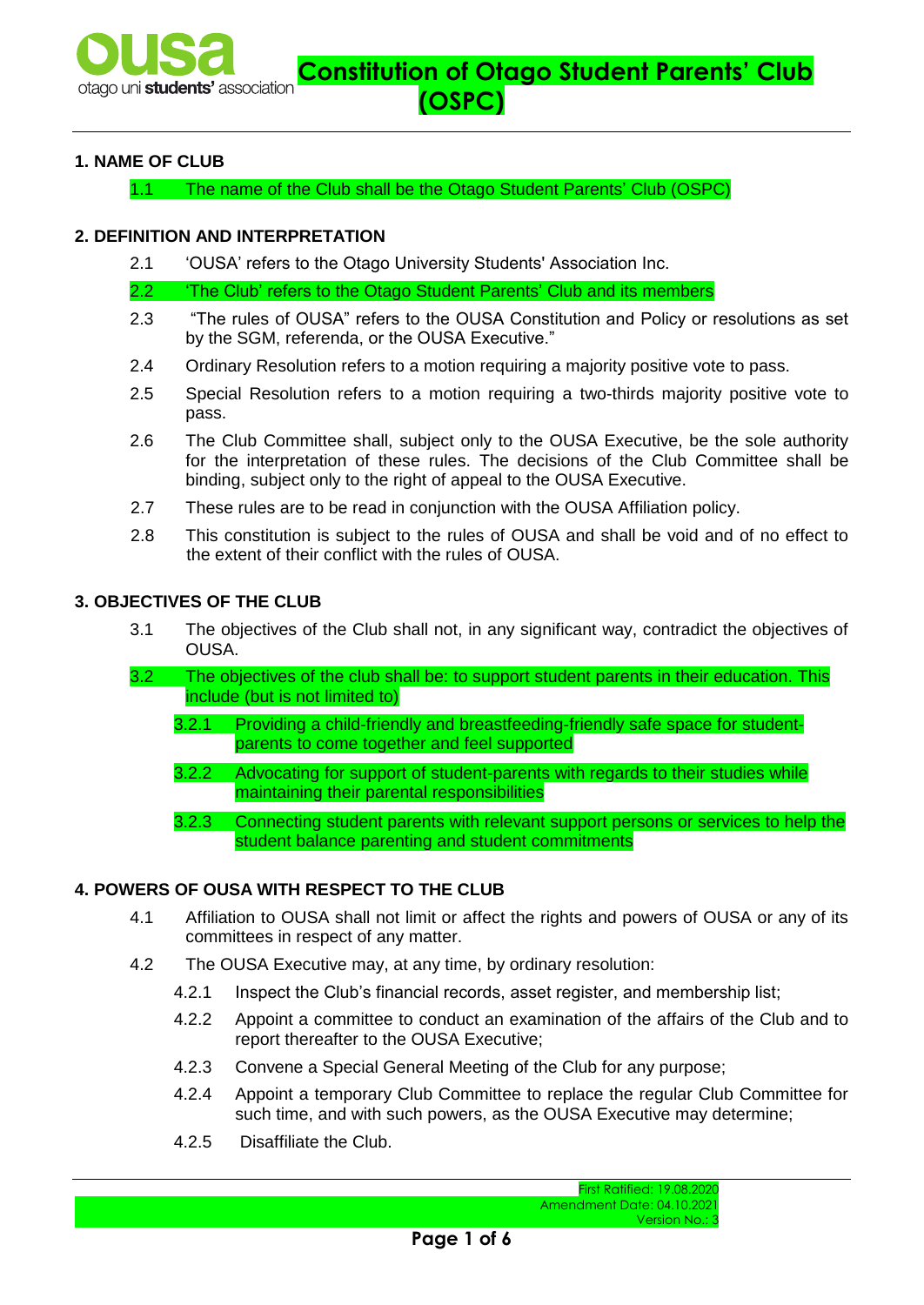## **1. NAME OF CLUB**

1.1 The name of the Club shall be the Otago Student Parents' Club (OSPC)

#### **2. DEFINITION AND INTERPRETATION**

2.1 'OUSA' refers to the Otago University Students' Association Inc.

2.2 'The Club' refers to the Otago Student Parents' Club and its members

- 2.3 "The rules of OUSA" refers to the OUSA Constitution and Policy or resolutions as set by the SGM, referenda, or the OUSA Executive."
- 2.4 Ordinary Resolution refers to a motion requiring a majority positive vote to pass.
- 2.5 Special Resolution refers to a motion requiring a two-thirds majority positive vote to pass.
- 2.6 The Club Committee shall, subject only to the OUSA Executive, be the sole authority for the interpretation of these rules. The decisions of the Club Committee shall be binding, subject only to the right of appeal to the OUSA Executive.
- 2.7 These rules are to be read in conjunction with the OUSA Affiliation policy.
- 2.8 This constitution is subject to the rules of OUSA and shall be void and of no effect to the extent of their conflict with the rules of OUSA.

# **3. OBJECTIVES OF THE CLUB**

- 3.1 The objectives of the Club shall not, in any significant way, contradict the objectives of OUSA.
- 3.2 The objectives of the club shall be: to support student parents in their education. This include (but is not limited to)
	- 3.2.1 Providing a child-friendly and breastfeeding-friendly safe space for studentparents to come together and feel supported
	- 3.2.2 Advocating for support of student-parents with regards to their studies while maintaining their parental responsibilities
	- 3.2.3 Connecting student parents with relevant support persons or services to help the student balance parenting and student commitments

## **4. POWERS OF OUSA WITH RESPECT TO THE CLUB**

- 4.1 Affiliation to OUSA shall not limit or affect the rights and powers of OUSA or any of its committees in respect of any matter.
- 4.2 The OUSA Executive may, at any time, by ordinary resolution:
	- 4.2.1 Inspect the Club's financial records, asset register, and membership list;
	- 4.2.2 Appoint a committee to conduct an examination of the affairs of the Club and to report thereafter to the OUSA Executive;
	- 4.2.3 Convene a Special General Meeting of the Club for any purpose;
	- 4.2.4 Appoint a temporary Club Committee to replace the regular Club Committee for such time, and with such powers, as the OUSA Executive may determine;
	- 4.2.5 Disaffiliate the Club.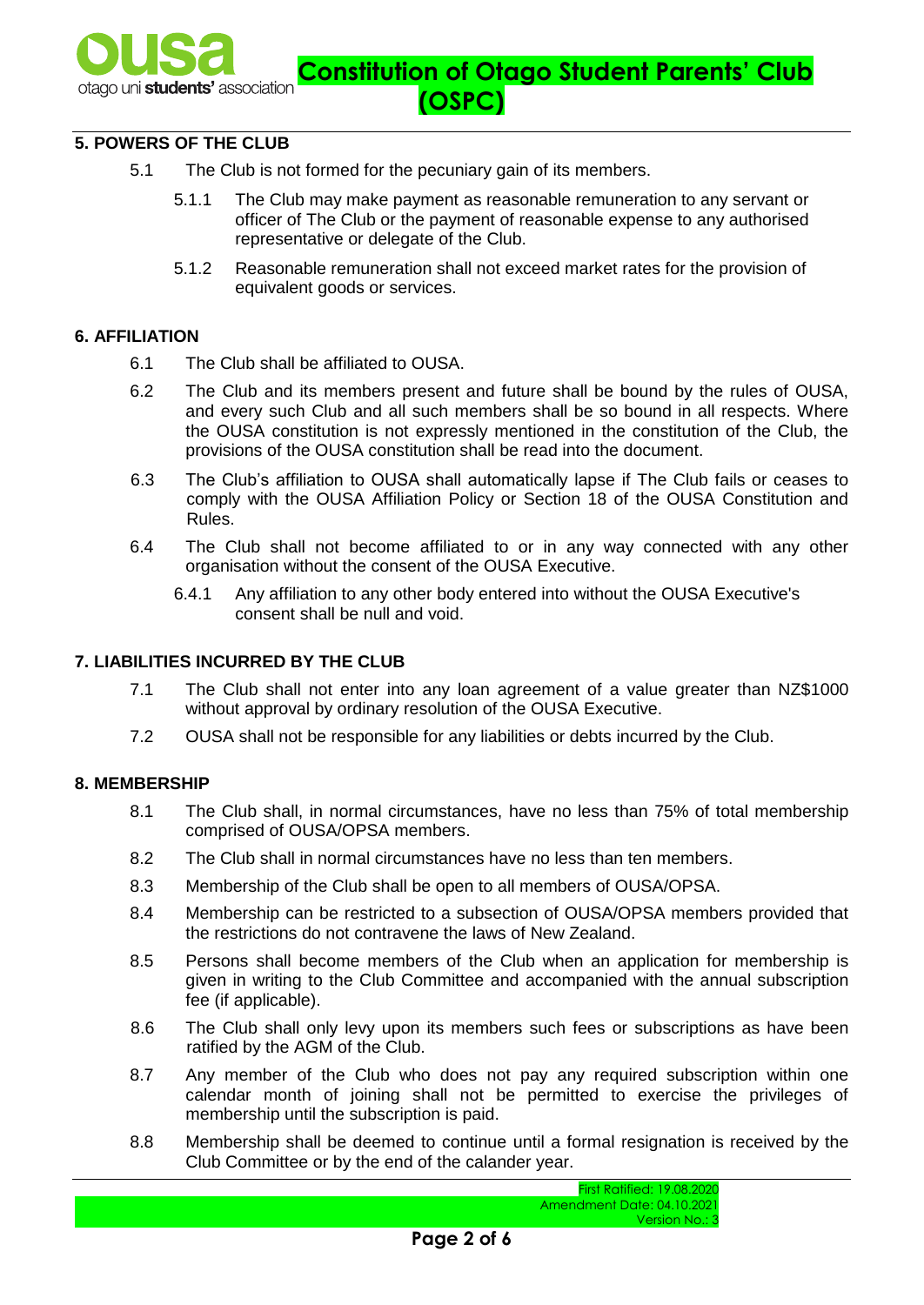

# **5. POWERS OF THE CLUB**

- 5.1 The Club is not formed for the pecuniary gain of its members.
	- 5.1.1 The Club may make payment as reasonable remuneration to any servant or officer of The Club or the payment of reasonable expense to any authorised representative or delegate of the Club.
	- 5.1.2 Reasonable remuneration shall not exceed market rates for the provision of equivalent goods or services.

#### **6. AFFILIATION**

- 6.1 The Club shall be affiliated to OUSA.
- 6.2 The Club and its members present and future shall be bound by the rules of OUSA, and every such Club and all such members shall be so bound in all respects. Where the OUSA constitution is not expressly mentioned in the constitution of the Club, the provisions of the OUSA constitution shall be read into the document.
- 6.3 The Club's affiliation to OUSA shall automatically lapse if The Club fails or ceases to comply with the OUSA Affiliation Policy or Section 18 of the OUSA Constitution and Rules.
- 6.4 The Club shall not become affiliated to or in any way connected with any other organisation without the consent of the OUSA Executive.
	- 6.4.1 Any affiliation to any other body entered into without the OUSA Executive's consent shall be null and void.

#### **7. LIABILITIES INCURRED BY THE CLUB**

- 7.1 The Club shall not enter into any loan agreement of a value greater than NZ\$1000 without approval by ordinary resolution of the OUSA Executive.
- 7.2 OUSA shall not be responsible for any liabilities or debts incurred by the Club.

#### **8. MEMBERSHIP**

- 8.1 The Club shall, in normal circumstances, have no less than 75% of total membership comprised of OUSA/OPSA members.
- 8.2 The Club shall in normal circumstances have no less than ten members.
- 8.3 Membership of the Club shall be open to all members of OUSA/OPSA.
- 8.4 Membership can be restricted to a subsection of OUSA/OPSA members provided that the restrictions do not contravene the laws of New Zealand.
- 8.5 Persons shall become members of the Club when an application for membership is given in writing to the Club Committee and accompanied with the annual subscription fee (if applicable).
- 8.6 The Club shall only levy upon its members such fees or subscriptions as have been ratified by the AGM of the Club.
- 8.7 Any member of the Club who does not pay any required subscription within one calendar month of joining shall not be permitted to exercise the privileges of membership until the subscription is paid.
- 8.8 Membership shall be deemed to continue until a formal resignation is received by the Club Committee or by the end of the calander year.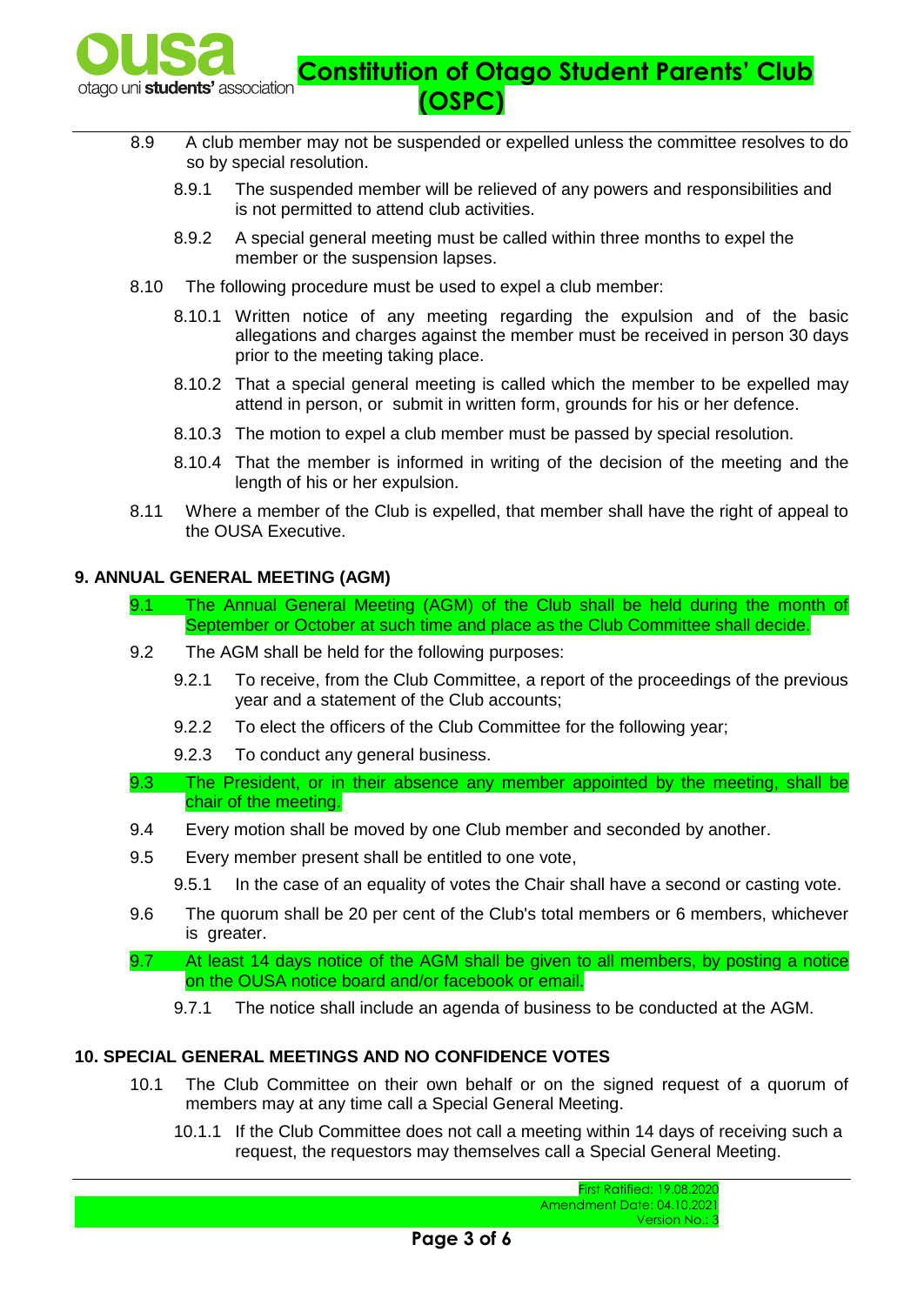

- 8.9 A club member may not be suspended or expelled unless the committee resolves to do so by special resolution.
	- 8.9.1 The suspended member will be relieved of any powers and responsibilities and is not permitted to attend club activities.
	- 8.9.2 A special general meeting must be called within three months to expel the member or the suspension lapses.
- 8.10 The following procedure must be used to expel a club member:
	- 8.10.1 Written notice of any meeting regarding the expulsion and of the basic allegations and charges against the member must be received in person 30 days prior to the meeting taking place.
	- 8.10.2 That a special general meeting is called which the member to be expelled may attend in person, or submit in written form, grounds for his or her defence.
	- 8.10.3 The motion to expel a club member must be passed by special resolution.
	- 8.10.4 That the member is informed in writing of the decision of the meeting and the length of his or her expulsion.
- 8.11 Where a member of the Club is expelled, that member shall have the right of appeal to the OUSA Executive.

### **9. ANNUAL GENERAL MEETING (AGM)**

- 9.1 The Annual General Meeting (AGM) of the Club shall be held during the month of September or October at such time and place as the Club Committee shall decide.
- 9.2 The AGM shall be held for the following purposes:
	- 9.2.1 To receive, from the Club Committee, a report of the proceedings of the previous year and a statement of the Club accounts;
	- 9.2.2 To elect the officers of the Club Committee for the following year;
	- 9.2.3 To conduct any general business.
- 9.3 The President, or in their absence any member appointed by the meeting, shall be chair of the meeting.
- 9.4 Every motion shall be moved by one Club member and seconded by another.
- 9.5 Every member present shall be entitled to one vote,
	- 9.5.1 In the case of an equality of votes the Chair shall have a second or casting vote.
- 9.6 The quorum shall be 20 per cent of the Club's total members or 6 members, whichever is greater.
- 9.7 At least 14 days notice of the AGM shall be given to all members, by posting a notice on the OUSA notice board and/or facebook or email.
	- 9.7.1 The notice shall include an agenda of business to be conducted at the AGM.

### **10. SPECIAL GENERAL MEETINGS AND NO CONFIDENCE VOTES**

- 10.1 The Club Committee on their own behalf or on the signed request of a quorum of members may at any time call a Special General Meeting.
	- 10.1.1 If the Club Committee does not call a meeting within 14 days of receiving such a request, the requestors may themselves call a Special General Meeting.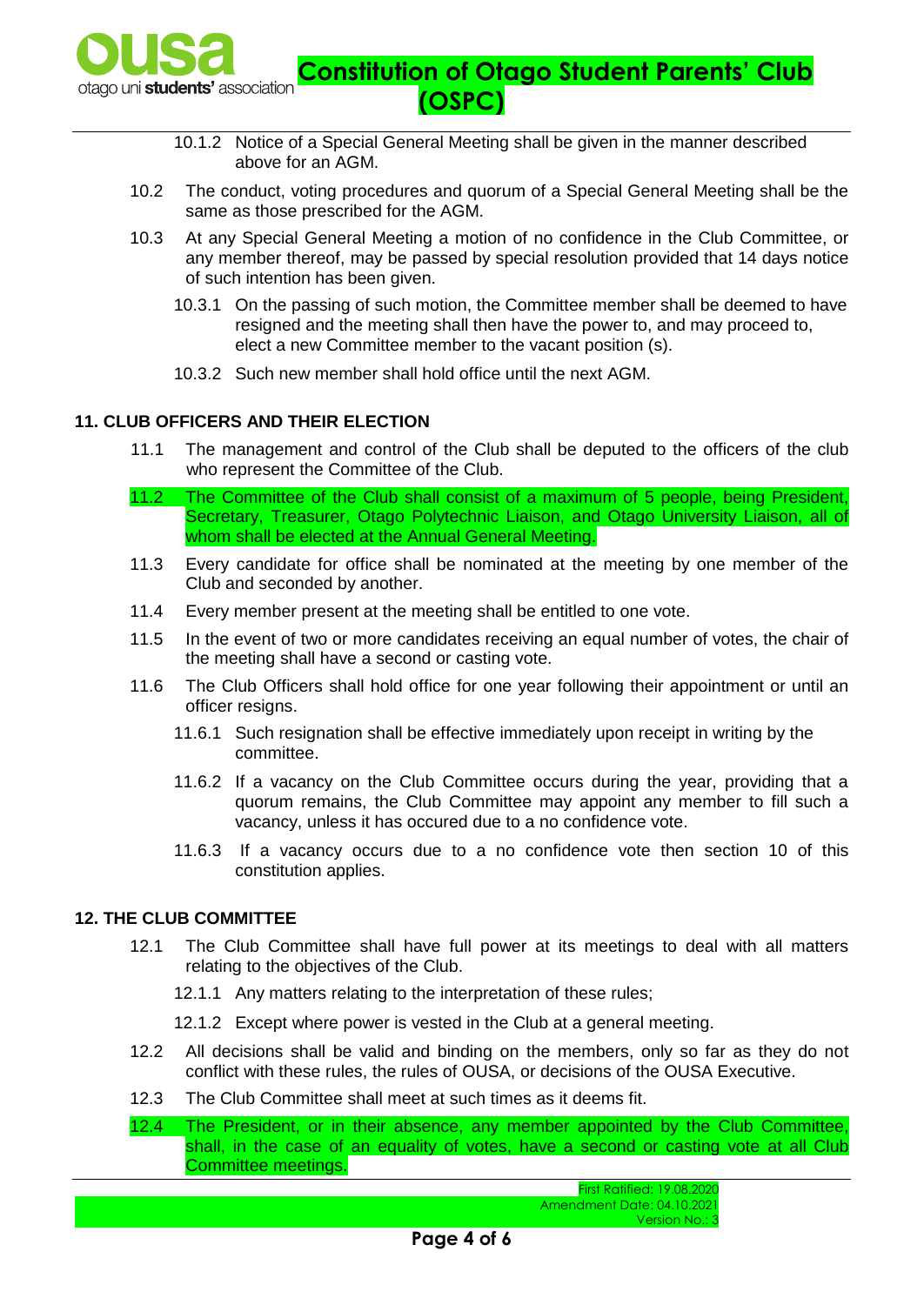

- 10.1.2 Notice of a Special General Meeting shall be given in the manner described above for an AGM.
- 10.2 The conduct, voting procedures and quorum of a Special General Meeting shall be the same as those prescribed for the AGM.
- 10.3 At any Special General Meeting a motion of no confidence in the Club Committee, or any member thereof, may be passed by special resolution provided that 14 days notice of such intention has been given.
	- 10.3.1 On the passing of such motion, the Committee member shall be deemed to have resigned and the meeting shall then have the power to, and may proceed to, elect a new Committee member to the vacant position (s).
	- 10.3.2 Such new member shall hold office until the next AGM.

# **11. CLUB OFFICERS AND THEIR ELECTION**

- 11.1 The management and control of the Club shall be deputed to the officers of the club who represent the Committee of the Club.
- 11.2 The Committee of the Club shall consist of a maximum of 5 people, being President, Secretary, Treasurer, Otago Polytechnic Liaison, and Otago University Liaison, all of whom shall be elected at the Annual General Meeting.
- 11.3 Every candidate for office shall be nominated at the meeting by one member of the Club and seconded by another.
- 11.4 Every member present at the meeting shall be entitled to one vote.
- 11.5 In the event of two or more candidates receiving an equal number of votes, the chair of the meeting shall have a second or casting vote.
- 11.6 The Club Officers shall hold office for one year following their appointment or until an officer resigns.
	- 11.6.1 Such resignation shall be effective immediately upon receipt in writing by the committee.
	- 11.6.2 If a vacancy on the Club Committee occurs during the year, providing that a quorum remains, the Club Committee may appoint any member to fill such a vacancy, unless it has occured due to a no confidence vote.
	- 11.6.3 If a vacancy occurs due to a no confidence vote then section 10 of this constitution applies.

### **12. THE CLUB COMMITTEE**

- 12.1 The Club Committee shall have full power at its meetings to deal with all matters relating to the objectives of the Club.
	- 12.1.1 Any matters relating to the interpretation of these rules;
	- 12.1.2 Except where power is vested in the Club at a general meeting.
- 12.2 All decisions shall be valid and binding on the members, only so far as they do not conflict with these rules, the rules of OUSA, or decisions of the OUSA Executive.
- 12.3 The Club Committee shall meet at such times as it deems fit.

12.4 The President, or in their absence, any member appointed by the Club Committee, shall, in the case of an equality of votes, have a second or casting vote at all Club Committee meetings.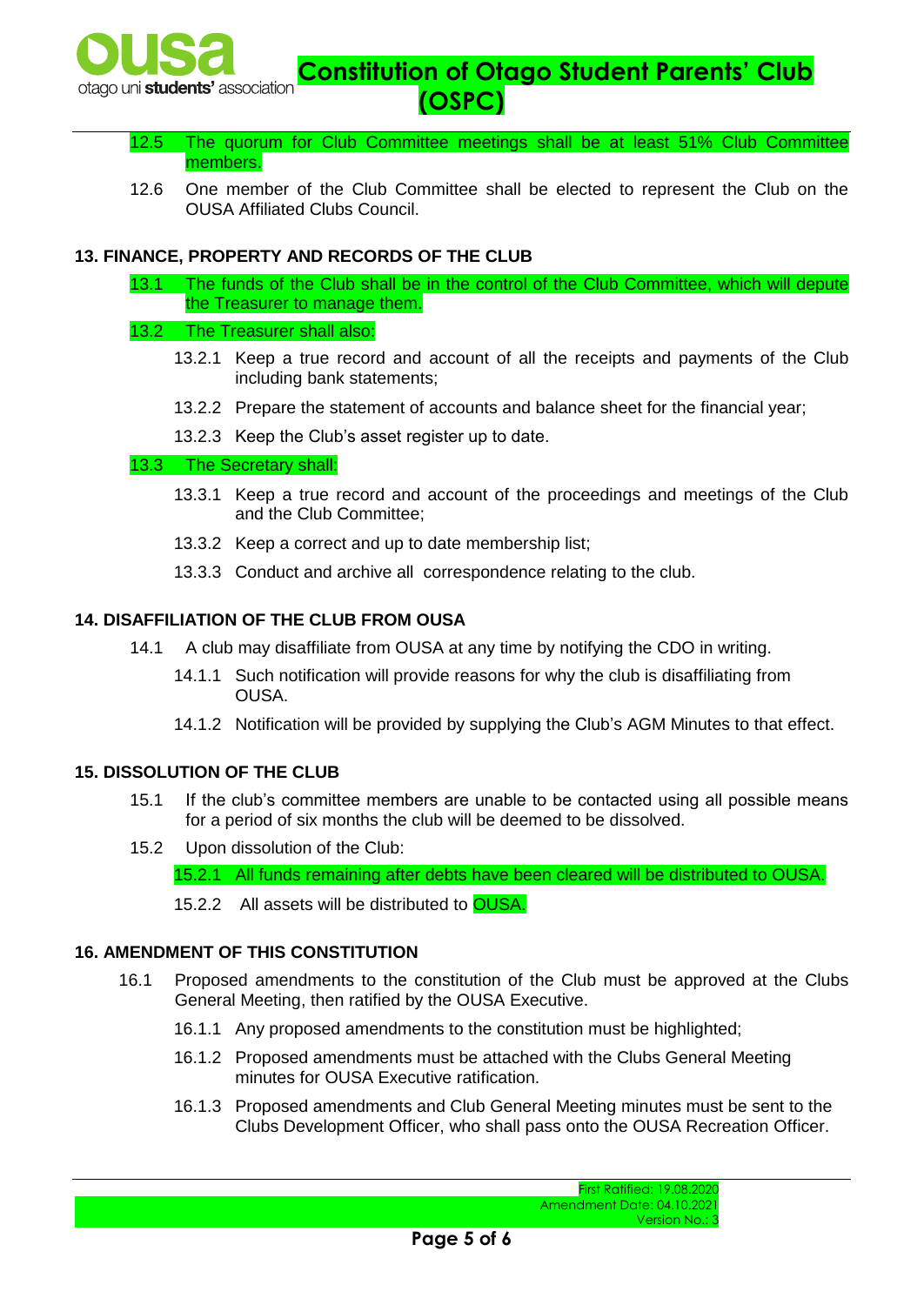

- 12.5 The quorum for Club Committee meetings shall be at least 51% Club Committee members.
- 12.6 One member of the Club Committee shall be elected to represent the Club on the OUSA Affiliated Clubs Council.

# **13. FINANCE, PROPERTY AND RECORDS OF THE CLUB**

13.1 The funds of the Club shall be in the control of the Club Committee, which will depute the Treasurer to manage them.

#### 13.2 The Treasurer shall also:

- 13.2.1 Keep a true record and account of all the receipts and payments of the Club including bank statements;
- 13.2.2 Prepare the statement of accounts and balance sheet for the financial year;
- 13.2.3 Keep the Club's asset register up to date.

## 13.3 The Secretary shall:

- 13.3.1 Keep a true record and account of the proceedings and meetings of the Club and the Club Committee;
- 13.3.2 Keep a correct and up to date membership list;
- 13.3.3 Conduct and archive all correspondence relating to the club.

### **14. DISAFFILIATION OF THE CLUB FROM OUSA**

- 14.1 A club may disaffiliate from OUSA at any time by notifying the CDO in writing.
	- 14.1.1 Such notification will provide reasons for why the club is disaffiliating from OUSA.
	- 14.1.2 Notification will be provided by supplying the Club's AGM Minutes to that effect.

### **15. DISSOLUTION OF THE CLUB**

- 15.1 If the club's committee members are unable to be contacted using all possible means for a period of six months the club will be deemed to be dissolved.
- 15.2 Upon dissolution of the Club:

15.2.1 All funds remaining after debts have been cleared will be distributed to OUSA.

15.2.2 All assets will be distributed to OUSA.

### **16. AMENDMENT OF THIS CONSTITUTION**

- 16.1 Proposed amendments to the constitution of the Club must be approved at the Clubs General Meeting, then ratified by the OUSA Executive.
	- 16.1.1 Any proposed amendments to the constitution must be highlighted;
	- 16.1.2 Proposed amendments must be attached with the Clubs General Meeting minutes for OUSA Executive ratification.
	- 16.1.3 Proposed amendments and Club General Meeting minutes must be sent to the Clubs Development Officer, who shall pass onto the OUSA Recreation Officer.